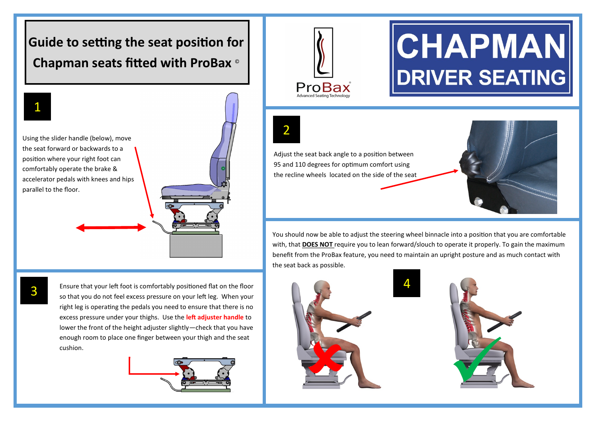### **Guide to setting the seat position for Chapman seats fitted with ProBax** ©



Using the slider handle (below), move the seat forward or backwards to a position where your right foot can comfortably operate the brake & accelerator pedals with knees and hips parallel to the floor.

Ensure that your left foot is comfortably positioned flat on the floor so that you do not feel excess pressure on your left leg. When your right leg is operating the pedals you need to ensure that there is no excess pressure under your thighs. Use the **left adjuster handle** to lower the front of the height adjuster slightly—check that you have enough room to place one finger between your thigh and the seat cushion.





# **CHAPMAN DRIVER SEATING**

2

Adjust the seat back angle to a position between 95 and 110 degrees for optimum comfort using the recline wheels located on the side of the seat



You should now be able to adjust the steering wheel binnacle into a position that you are comfortable with, that **DOES NOT** require you to lean forward/slouch to operate it properly. To gain the maximum benefit from the ProBax feature, you need to maintain an upright posture and as much contact with the seat back as possible.

4



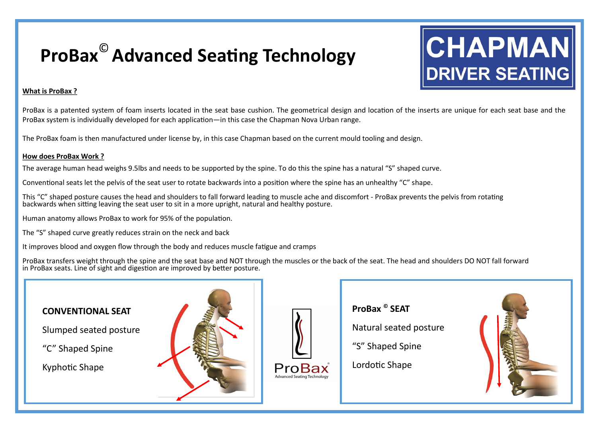### **ProBax**© **Advanced Seating Technology**

## CHAPMAN **DRIVER SEATING**

#### **What is ProBax ?**

ProBax is a patented system of foam inserts located in the seat base cushion. The geometrical design and location of the inserts are unique for each seat base and the ProBax system is individually developed for each application—in this case the Chapman Nova Urban range.

The ProBax foam is then manufactured under license by, in this case Chapman based on the current mould tooling and design.

#### **How does ProBax Work ?**

The average human head weighs 9.5lbs and needs to be supported by the spine. To do this the spine has a natural "S" shaped curve.

Conventional seats let the pelvis of the seat user to rotate backwards into a position where the spine has an unhealthy "C" shape.

This "C" shaped posture causes the head and shoulders to fall forward leading to muscle ache and discomfort - ProBax prevents the pelvis from rotating backwards when sitting leaving the seat user to sit in a more upright, natural and healthy posture.

Human anatomy allows ProBax to work for 95% of the population.

The "S" shaped curve greatly reduces strain on the neck and back

It improves blood and oxygen flow through the body and reduces muscle fatigue and cramps

ProBax transfers weight through the spine and the seat base and NOT through the muscles or the back of the seat. The head and shoulders DO NOT fall forward in ProBax seats. Line of sight and digestion are improved by better posture.

#### **CONVENTIONAL SEAT**

Slumped seated posture

"C" Shaped Spine

Kyphotic Shape





**ProBax © SEAT**

Natural seated posture

"S" Shaped Spine

Lordotic Shape